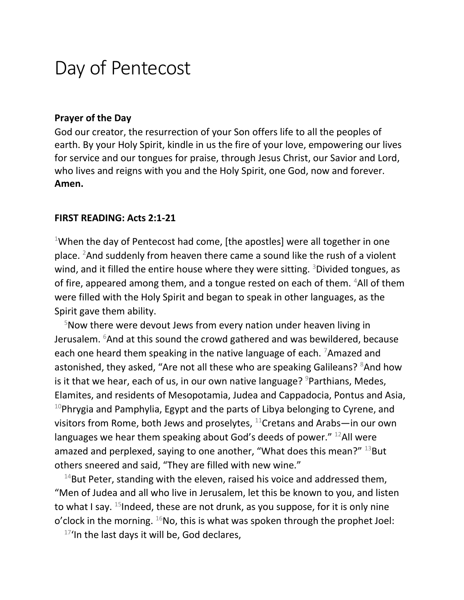# Day of Pentecost

#### **Prayer of the Day**

God our creator, the resurrection of your Son offers life to all the peoples of earth. By your Holy Spirit, kindle in us the fire of your love, empowering our lives for service and our tongues for praise, through Jesus Christ, our Savior and Lord, who lives and reigns with you and the Holy Spirit, one God, now and forever. **Amen.**

#### **FIRST READING: Acts 2:1-21**

<sup>1</sup>When the day of Pentecost had come, [the apostles] were all together in one place. <sup>2</sup>And suddenly from heaven there came a sound like the rush of a violent wind, and it filled the entire house where they were sitting. <sup>3</sup>Divided tongues, as of fire, appeared among them, and a tongue rested on each of them. <sup>4</sup>All of them were filled with the Holy Spirit and began to speak in other languages, as the Spirit gave them ability.

 $5$ Now there were devout Jews from every nation under heaven living in Jerusalem.  $6$ And at this sound the crowd gathered and was bewildered, because each one heard them speaking in the native language of each. <sup>7</sup>Amazed and astonished, they asked, "Are not all these who are speaking Galileans? <sup>8</sup>And how is it that we hear, each of us, in our own native language?  $9P$  arthians, Medes, Elamites, and residents of Mesopotamia, Judea and Cappadocia, Pontus and Asia,  $10P$ hrygia and Pamphylia, Egypt and the parts of Libya belonging to Cyrene, and visitors from Rome, both Jews and proselytes,  $^{11}$ Cretans and Arabs—in our own languages we hear them speaking about God's deeds of power."  $^{12}$ All were amazed and perplexed, saying to one another, "What does this mean?"  $^{13}$ But others sneered and said, "They are filled with new wine."

 $14$ But Peter, standing with the eleven, raised his voice and addressed them, "Men of Judea and all who live in Jerusalem, let this be known to you, and listen to what I say.  $^{15}$ Indeed, these are not drunk, as you suppose, for it is only nine o'clock in the morning.  $^{16}$ No, this is what was spoken through the prophet Joel:

 $17'$ In the last days it will be, God declares,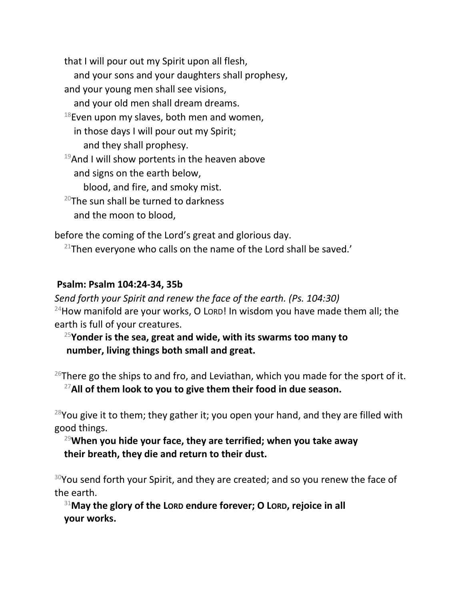that I will pour out my Spirit upon all flesh,

- and your sons and your daughters shall prophesy,
- and your young men shall see visions,

and your old men shall dream dreams.

- $18$ Even upon my slaves, both men and women, in those days I will pour out my Spirit; and they shall prophesy.
- $19$ And I will show portents in the heaven above and signs on the earth below,

blood, and fire, and smoky mist.

 $20$ The sun shall be turned to darkness and the moon to blood,

before the coming of the Lord's great and glorious day.

 $21$ Then everyone who calls on the name of the Lord shall be saved.'

## **Psalm: Psalm 104:24-34, 35b**

*Send forth your Spirit and renew the face of the earth. (Ps. 104:30)*  $24$ How manifold are your works, O Lord! In wisdom you have made them all; the earth is full of your creatures.

<sup>25</sup>**Yonder is the sea, great and wide, with its swarms too many to number, living things both small and great.**

 $26$ There go the ships to and fro, and Leviathan, which you made for the sport of it. <sup>27</sup>**All of them look to you to give them their food in due season.**

 $28$ You give it to them; they gather it; you open your hand, and they are filled with good things.

## <sup>29</sup>**When you hide your face, they are terrified; when you take away their breath, they die and return to their dust.**

 $30$ You send forth your Spirit, and they are created; and so you renew the face of the earth.

<sup>31</sup>**May the glory of the LORD endure forever; O LORD, rejoice in all your works.**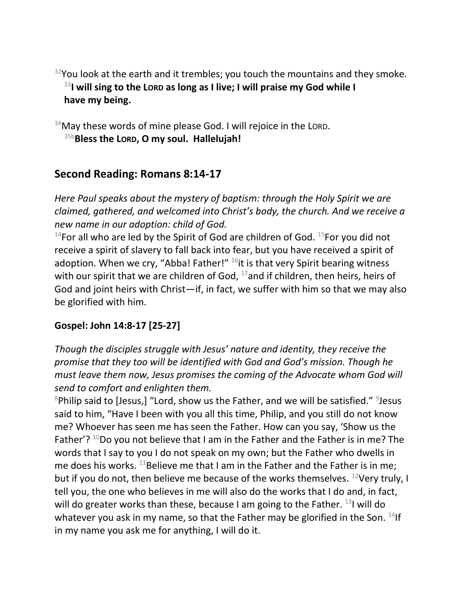$32$ You look at the earth and it trembles; you touch the mountains and they smoke. <sup>33</sup>**I will sing to the LORD as long as I live; I will praise my God while I have my being.**

 $34$ May these words of mine please God. I will rejoice in the LORD. 35b**Bless the LORD, O my soul. Hallelujah!**

# **Second Reading: Romans 8:14-17**

*Here Paul speaks about the mystery of baptism: through the Holy Spirit we are claimed, gathered, and welcomed into Christ's body, the church. And we receive a new name in our adoption: child of God.*

<sup>14</sup>For all who are led by the Spirit of God are children of God.  $^{15}$ For you did not receive a spirit of slavery to fall back into fear, but you have received a spirit of adoption. When we cry, "Abba! Father!"  $16$  it is that very Spirit bearing witness with our spirit that we are children of God,  $17$  and if children, then heirs, heirs of God and joint heirs with Christ—if, in fact, we suffer with him so that we may also be glorified with him.

## **Gospel: John 14:8-17 [25-27]**

*Though the disciples struggle with Jesus' nature and identity, they receive the promise that they too will be identified with God and God's mission. Though he must leave them now, Jesus promises the coming of the Advocate whom God will send to comfort and enlighten them.*

 $8$ Philip said to [Jesus,] "Lord, show us the Father, and we will be satisfied."  $9$ Jesus said to him, "Have I been with you all this time, Philip, and you still do not know me? Whoever has seen me has seen the Father. How can you say, 'Show us the Father'?  $^{10}$ Do you not believe that I am in the Father and the Father is in me? The words that I say to you I do not speak on my own; but the Father who dwells in me does his works. <sup>11</sup>Believe me that I am in the Father and the Father is in me; but if you do not, then believe me because of the works themselves.  $^{12}$ Very truly, I tell you, the one who believes in me will also do the works that I do and, in fact, will do greater works than these, because I am going to the Father.  $^{13}$ I will do whatever you ask in my name, so that the Father may be glorified in the Son.  $^{14}$ If in my name you ask me for anything, I will do it.